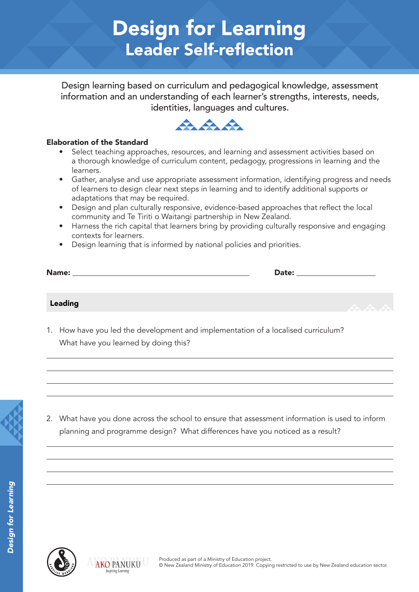# Design for Learning Leader Self-reflection

Design learning based on curriculum and pedagogical knowledge, assessment information and an understanding of each learner's strengths, interests, needs, identities, languages and cultures.



#### Elaboration of the Standard

- Select teaching approaches, resources, and learning and assessment activities based on a thorough knowledge of curriculum content, pedagogy, progressions in learning and the learners.
- Gather, analyse and use appropriate assessment information, identifying progress and needs of learners to design clear next steps in learning and to identify additional supports or adaptations that may be required.
- Design and plan culturally responsive, evidence-based approaches that reflect the local community and Te Tiriti o Waitangi partnership in New Zealand.
- Harness the rich capital that learners bring by providing culturally responsive and engaging contexts for learners.
- Design learning that is informed by national policies and priorities.

| Name:   | Date: |  |
|---------|-------|--|
| Leading |       |  |

1. How have you led the development and implementation of a localised curriculum? What have you learned by doing this?



2. What have you done across the school to ensure that assessment information is used to inform planning and programme design? What differences have you noticed as a result?



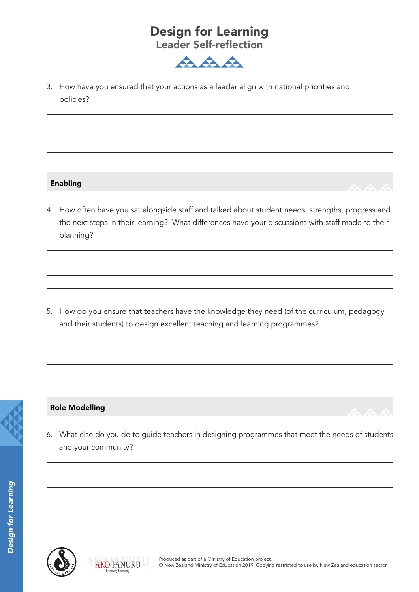### Design for Learning Leader Self-reflection



3. How have you ensured that your actions as a leader align with national priorities and policies?

#### Enabling

4. How often have you sat alongside staff and talked about student needs, strengths, progress and the next steps in their learning? What differences have your discussions with staff made to their planning?

5. How do you ensure that teachers have the knowledge they need (of the curriculum, pedagogy and their students) to design excellent teaching and learning programmes?



#### Role Modelling

6. What else do you do to guide teachers in designing programmes that meet the needs of students and your community?



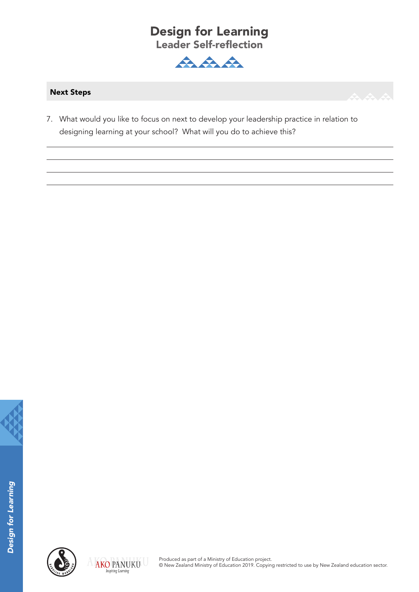## Design for Learning Leader Self-reflection



#### Next Steps



7. What would you like to focus on next to develop your leadership practice in relation to designing learning at your school? What will you do to achieve this?





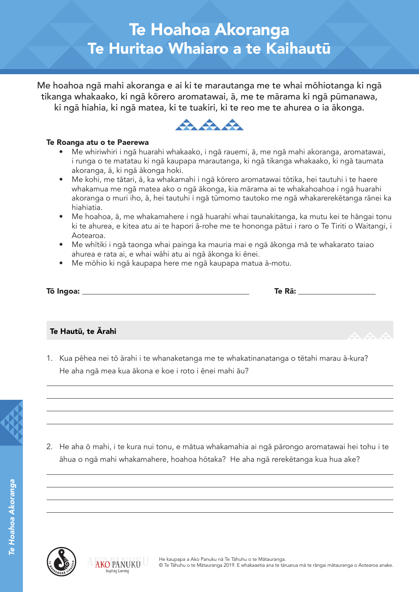## Te Hoahoa Akoranga Te Huritao Whaiaro a te Kaihautū

Me hoahoa ngā mahi akoranga e ai ki te marautanga me te whai mōhiotanga ki ngā tikanga whakaako, ki ngā kōrero aromatawai, ā, me te mārama ki ngā pūmanawa, ki ngā hiahia, ki ngā matea, ki te tuakiri, ki te reo me te ahurea o ia ākonga.

 $\triangle$   $\triangle$ 

#### Te Roanga atu o te Paerewa

- Me whiriwhiri i ngā huarahi whakaako, i ngā rauemi, ā, me ngā mahi akoranga, aromatawai, i runga o te matatau ki ngā kaupapa marautanga, ki ngā tikanga whakaako, ki ngā taumata akoranga, ā, ki ngā ākonga hoki.
- Me kohi, me tātari, ā, ka whakamahi i ngā kōrero aromatawai tōtika, hei tautuhi i te haere whakamua me ngā matea ako o ngā ākonga, kia mārama ai te whakahoahoa i ngā huarahi akoranga o muri iho, ā, hei tautuhi i ngā tūmomo tautoko me ngā whakarerekētanga rānei ka hiahiatia.
- Me hoahoa, ā, me whakamahere i ngā huarahi whai taunakitanga, ka mutu kei te hāngai tonu ki te ahurea, e kitea atu ai te hapori ā-rohe me te hononga pātui i raro o Te Tiriti o Waitangi, i Aotearoa.
- Me whītiki i ngā taonga whai painga ka mauria mai e ngā ākonga mā te whakarato taiao ahurea e rata ai, e whai wāhi atu ai ngā ākonga ki ēnei.
- Me mōhio ki ngā kaupapa here me ngā kaupapa matua ā-motu.

| <b>Tō Ingoa:</b> | Te Rā: |
|------------------|--------|
|                  |        |

#### Te Hautū, te Ārahi

1. Kua pēhea nei tō ārahi i te whanaketanga me te whakatinanatanga o tētahi marau ā-kura? He aha ngā mea kua ākona e koe i roto i ēnei mahi āu?



*Te Hoahoa Akoranga*

Te Hoahoa Akoranga

2. He aha ō mahi, i te kura nui tonu, e mātua whakamahia ai ngā pārongo aromatawai hei tohu i te āhua o ngā mahi whakamahere, hoahoa hōtaka? He aha ngā rerekētanga kua hua ake?



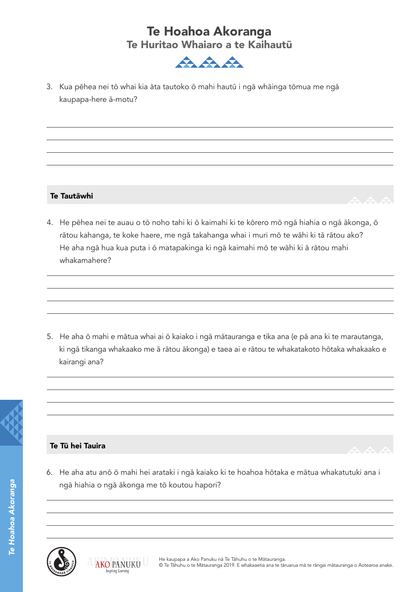## Te Hoahoa Akoranga Te Huritao Whaiaro a te Kaihautū



3. Kua pēhea nei tō whai kia āta tautoko ō mahi hautū i ngā whāinga tōmua me ngā kaupapa-here ā-motu?

#### Te Tautāwhi

4. He pēhea nei te auau o tō noho tahi ki ō kaimahi ki te kōrero mō ngā hiahia o ngā ākonga, ō rātou kahanga, te koke haere, me ngā takahanga whai i muri mō te wāhi ki tā rātou ako? He aha ngā hua kua puta i ō matapakinga ki ngā kaimahi mō te wāhi ki ā rātou mahi whakamahere?

5. He aha ō mahi e mātua whai ai ō kaiako i ngā mātauranga e tika ana (e pā ana ki te marautanga, ki ngā tikanga whakaako me ā rātou ākonga) e taea ai e rātou te whakatakoto hōtaka whakaako e kairangi ana?



*Te Hoahoa Akoranga*

Te Hoahoa Akoranga

#### Te Tū hei Tauira

6. He aha atu anō ō mahi hei arataki i ngā kaiako ki te hoahoa hōtaka e mātua whakatutuki ana i ngā hiahia o ngā ākonga me tō koutou hapori?





He kaupapa a Ako Panuku nā Te Tāhuhu o te Mātauranga. © Te Tāhuhu o te Mātauranga 2019. E whakaaetia ana te tāruarua mā te rāngai mātauranga o Aotearoa anake.